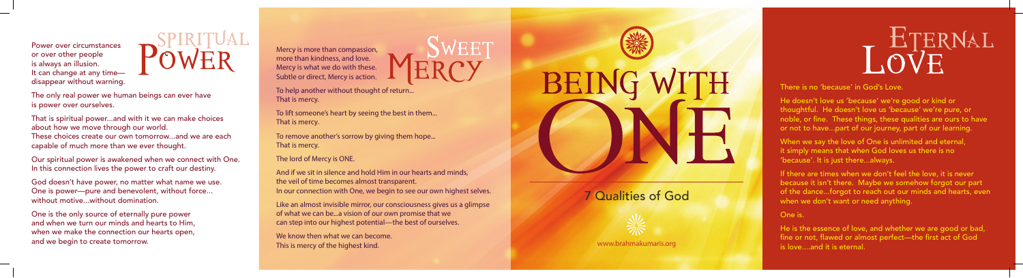### 7 Qualities of God



www.brahmakumaris.org

## LOVE

There is no 'because' in God's Love.

He doesn't love us 'because' we're good or kind or thoughtful. He doesn't love us 'because' we're pure, or noble, or fine. These things, these qualities are ours to have or not to have...part of our journey, part of our learning.

When we say the love of One is unlimited and eternal, it simply means that when God loves us there is no 'because'. It is just there...always.

If there are times when we don't feel the love, it is never because it isn't there. Maybe we somehow forgot our part of the dance...forgot to reach out our minds and hearts, even when we don't want or need anything.

### One is.

He is the essence of love, and whether we are good or bad, fine or not, flawed or almost perfect—the first act of God is love....and it is eternal.

Power over circumstances or over other people is always an illusion. It can change at any time disappear without warning.



The only real power we human beings can ever have is power over ourselves.

That is spiritual power...and with it we can make choices about how we move through our world. These choices create our own tomorrow...and we are each capable of much more than we ever thought.

Our spiritual power is awakened when we connect with One. In this connection lives the power to craft our destiny.

God doesn't have power, no matter what name we use. One is power—pure and benevolent, without force... without motive...without domination.

One is the only source of eternally pure power and when we turn our minds and hearts to Him, when we make the connection our hearts open, and we begin to create tomorrow.

Mercy is more than compassion, more than kindness, and love. Mercy is what we do with these. Subtle or direct, Mercy is action.

To help another without thought of return... That is mercy.

To lift someone's heart by seeing the best in them... That is mercy.

To remove another's sorrow by giving them hope... That is mercy.

The lord of Mercy is ONE.

And if we sit in silence and hold Him in our hearts and minds, the veil of time becomes almost transparent. In our connection with One, we begin to see our own highest selves.

WEET

Like an almost invisible mirror, our consciousness gives us a glimpse of what we can be...a vision of our own promise that we can step into our highest potential—the best of ourselves.

We know then what we can become. This is mercy of the highest kind.

# **BEING WITH**